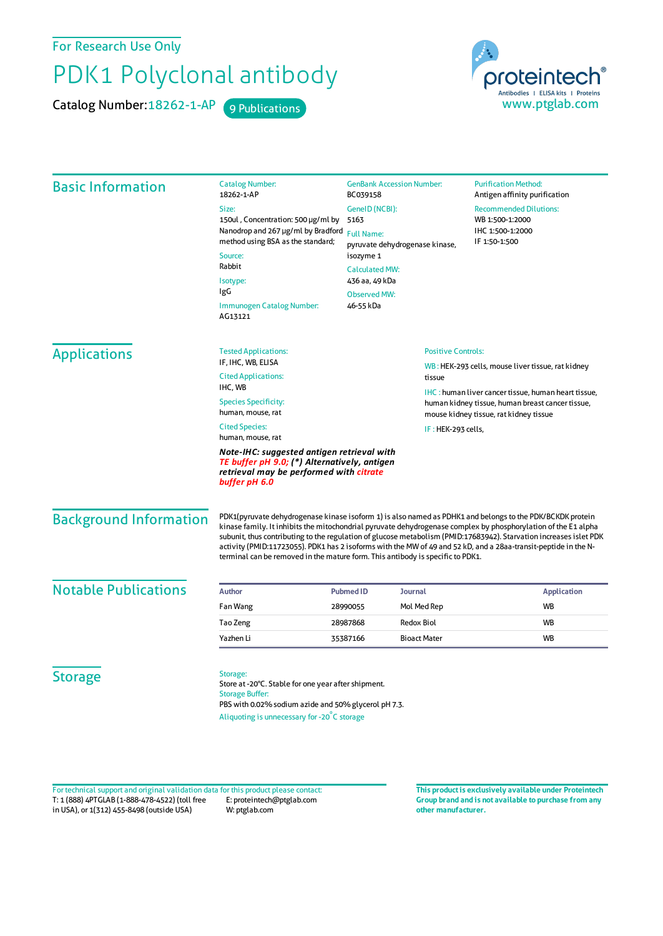For Research Use Only

## PDK1 Polyclonal antibody

Catalog Number: 18262-1-AP 9 Publications



| <b>Basic Information</b>      | <b>Catalog Number:</b><br>18262-1-AP                                                                                                                                                                                                                                                                                                                                                                                                                                                                                                                   | <b>GenBank Accession Number:</b><br>BC039158<br>GenelD (NCBI):<br>5163<br><b>Full Name:</b><br>pyruvate dehydrogenase kinase,<br>isozyme 1<br><b>Calculated MW:</b> |                           | <b>Purification Method:</b><br>Antigen affinity purification                                                   |
|-------------------------------|--------------------------------------------------------------------------------------------------------------------------------------------------------------------------------------------------------------------------------------------------------------------------------------------------------------------------------------------------------------------------------------------------------------------------------------------------------------------------------------------------------------------------------------------------------|---------------------------------------------------------------------------------------------------------------------------------------------------------------------|---------------------------|----------------------------------------------------------------------------------------------------------------|
|                               | Size:                                                                                                                                                                                                                                                                                                                                                                                                                                                                                                                                                  |                                                                                                                                                                     |                           | <b>Recommended Dilutions:</b><br>WB 1:500-1:2000<br>IHC 1:500-1:2000<br>IF 1:50-1:500                          |
|                               | 150ul, Concentration: 500 µg/ml by                                                                                                                                                                                                                                                                                                                                                                                                                                                                                                                     |                                                                                                                                                                     |                           |                                                                                                                |
|                               | Nanodrop and 267 µg/ml by Bradford<br>method using BSA as the standard;                                                                                                                                                                                                                                                                                                                                                                                                                                                                                |                                                                                                                                                                     |                           |                                                                                                                |
|                               | Source:                                                                                                                                                                                                                                                                                                                                                                                                                                                                                                                                                |                                                                                                                                                                     |                           |                                                                                                                |
|                               | Rabbit                                                                                                                                                                                                                                                                                                                                                                                                                                                                                                                                                 |                                                                                                                                                                     |                           |                                                                                                                |
|                               | Isotype:                                                                                                                                                                                                                                                                                                                                                                                                                                                                                                                                               | 436 aa, 49 kDa                                                                                                                                                      |                           |                                                                                                                |
|                               | IgG                                                                                                                                                                                                                                                                                                                                                                                                                                                                                                                                                    | <b>Observed MW:</b>                                                                                                                                                 |                           |                                                                                                                |
|                               | 46-55 kDa<br>Immunogen Catalog Number:<br>AG13121                                                                                                                                                                                                                                                                                                                                                                                                                                                                                                      |                                                                                                                                                                     |                           |                                                                                                                |
| <b>Applications</b>           | <b>Tested Applications:</b>                                                                                                                                                                                                                                                                                                                                                                                                                                                                                                                            |                                                                                                                                                                     | <b>Positive Controls:</b> |                                                                                                                |
|                               | IF, IHC, WB, ELISA<br><b>Cited Applications:</b>                                                                                                                                                                                                                                                                                                                                                                                                                                                                                                       | tissue                                                                                                                                                              |                           | WB: HEK-293 cells, mouse liver tissue, rat kidney                                                              |
|                               | IHC, WB<br><b>Species Specificity:</b><br>human, mouse, rat                                                                                                                                                                                                                                                                                                                                                                                                                                                                                            |                                                                                                                                                                     |                           | <b>IHC:</b> human liver cancer tissue, human heart tissue,<br>human kidney tissue, human breast cancer tissue, |
|                               | <b>Cited Species:</b><br>human, mouse, rat                                                                                                                                                                                                                                                                                                                                                                                                                                                                                                             | mouse kidney tissue, rat kidney tissue<br>IF: HEK-293 cells,                                                                                                        |                           |                                                                                                                |
|                               | Note-IHC: suggested antigen retrieval with<br>TE buffer pH 9.0; (*) Alternatively, antigen<br>retrieval may be performed with citrate<br>buffer pH 6.0                                                                                                                                                                                                                                                                                                                                                                                                 |                                                                                                                                                                     |                           |                                                                                                                |
| <b>Background Information</b> | PDK1(pyruvate dehydrogenase kinase isoform 1) is also named as PDHK1 and belongs to the PDK/BCKDK protein<br>kinase family. It inhibits the mitochondrial pyruvate dehydrogenase complex by phosphorylation of the E1 alpha<br>subunit, thus contributing to the regulation of glucose metabolism (PMID:17683942). Starvation increases islet PDK<br>activity (PMID:11723055). PDK1 has 2 isoforms with the MW of 49 and 52 kD, and a 28aa-transit-peptide in the N-<br>terminal can be removed in the mature form. This antibody is specific to PDK1. |                                                                                                                                                                     |                           |                                                                                                                |
| <b>Notable Publications</b>   | <b>Author</b>                                                                                                                                                                                                                                                                                                                                                                                                                                                                                                                                          | <b>Pubmed ID</b>                                                                                                                                                    | <b>Journal</b>            | <b>Application</b>                                                                                             |
|                               | Fan Wang                                                                                                                                                                                                                                                                                                                                                                                                                                                                                                                                               | 28990055                                                                                                                                                            | Mol Med Rep               | <b>WB</b>                                                                                                      |
|                               | Tao Zeng                                                                                                                                                                                                                                                                                                                                                                                                                                                                                                                                               | 28987868                                                                                                                                                            | <b>Redox Biol</b>         | WB                                                                                                             |
|                               | Yazhen Li                                                                                                                                                                                                                                                                                                                                                                                                                                                                                                                                              | 35387166                                                                                                                                                            | <b>Bioact Mater</b>       | <b>WB</b>                                                                                                      |
| <b>Storage</b>                | Storage:<br>Store at -20°C. Stable for one year after shipment.<br><b>Storage Buffer:</b><br>PBS with 0.02% sodium azide and 50% glycerol pH 7.3.                                                                                                                                                                                                                                                                                                                                                                                                      |                                                                                                                                                                     |                           |                                                                                                                |

T: 1 (888) 4PTGLAB (1-888-478-4522) (toll free in USA), or 1(312) 455-8498 (outside USA) E: proteintech@ptglab.com W: ptglab.com Fortechnical support and original validation data forthis product please contact: **This productis exclusively available under Proteintech**

**Group brand and is not available to purchase from any other manufacturer.**